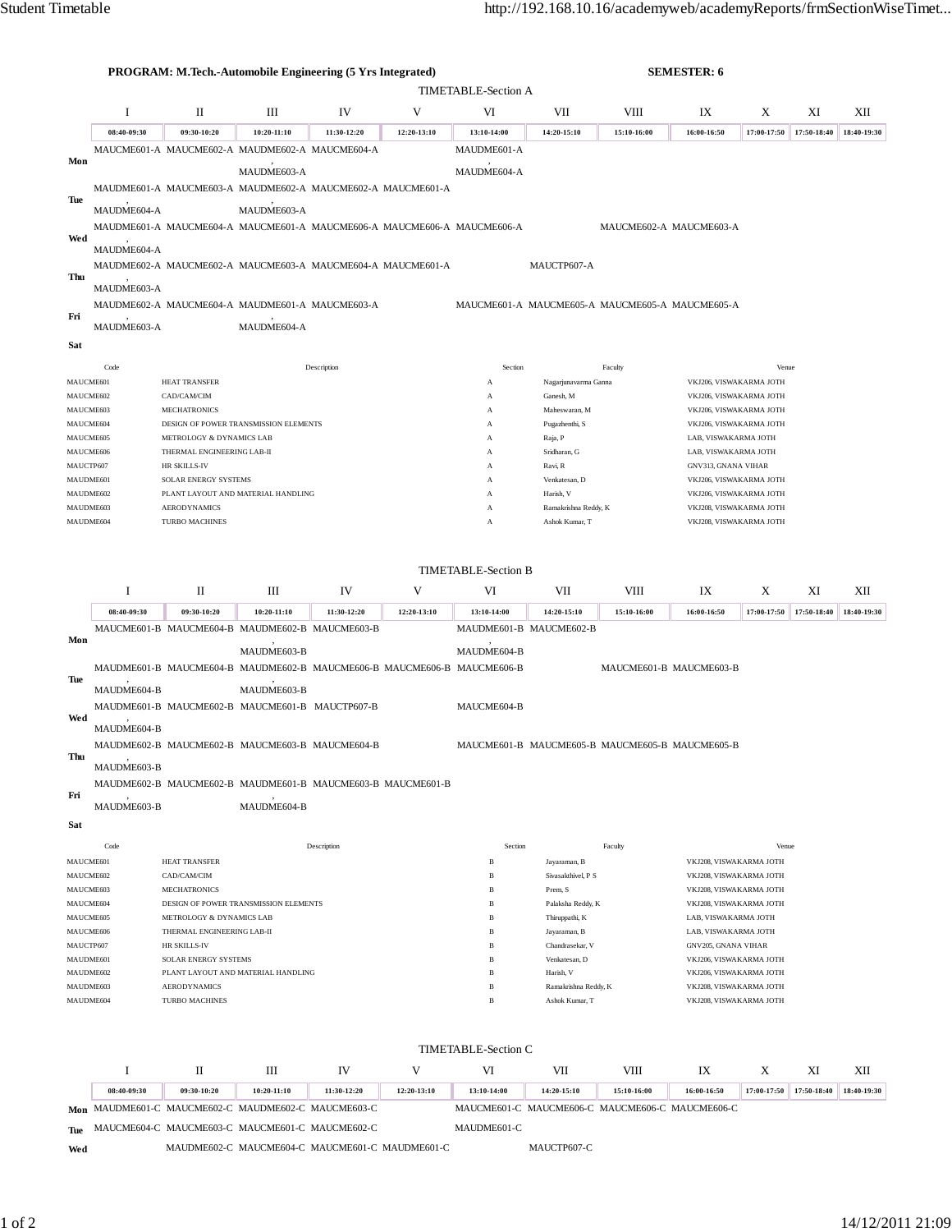|                                   |                        |                                                        | <b>PROGRAM: M.Tech.-Automobile Engineering (5 Yrs Integrated)</b>       |             |             |                              |                                                                |             | <b>SEMESTER: 6</b>                                 |             |             |             |
|-----------------------------------|------------------------|--------------------------------------------------------|-------------------------------------------------------------------------|-------------|-------------|------------------------------|----------------------------------------------------------------|-------------|----------------------------------------------------|-------------|-------------|-------------|
| <b>TIMETABLE-Section A</b>        |                        |                                                        |                                                                         |             |             |                              |                                                                |             |                                                    |             |             |             |
|                                   | I                      | П                                                      | Ш                                                                       | IV          | V           | VI<br>VII<br>VIII            |                                                                |             | IX                                                 | X           | XI          | XII         |
|                                   | 08:40-09:30            | 09:30-10:20                                            | 10:20-11:10                                                             | 11:30-12:20 | 12:20-13:10 | 13:10-14:00                  | 14:20-15:10                                                    | 15:10-16:00 | 16:00-16:50                                        | 17:00-17:50 | 17:50-18:40 | 18:40-19:30 |
|                                   |                        |                                                        | MAUCME601-A MAUCME602-A MAUDME602-A MAUCME604-A                         |             |             | MAUDME601-A                  |                                                                |             |                                                    |             |             |             |
| Mon                               |                        |                                                        | MAUDME603-A                                                             |             |             | MAUDME604-A                  |                                                                |             |                                                    |             |             |             |
|                                   |                        |                                                        | MAUDME601-A MAUCME603-A MAUDME602-A MAUCME602-A MAUCME601-A             |             |             |                              |                                                                |             |                                                    |             |             |             |
| Tue                               |                        |                                                        |                                                                         |             |             |                              |                                                                |             |                                                    |             |             |             |
|                                   | MAUDME604-A            |                                                        | MAUDME603-A                                                             |             |             |                              |                                                                |             |                                                    |             |             |             |
| Wed                               |                        |                                                        | MAUDME601-A MAUCME604-A MAUCME601-A MAUCME606-A MAUCME606-A MAUCME606-A |             |             |                              |                                                                |             | MAUCME602-A MAUCME603-A                            |             |             |             |
|                                   | MAUDME604-A            |                                                        |                                                                         |             |             |                              |                                                                |             |                                                    |             |             |             |
| Thu                               |                        |                                                        | MAUDME602-A MAUCME602-A MAUCME603-A MAUCME604-A MAUCME601-A             |             |             |                              | MAUCTP607-A                                                    |             |                                                    |             |             |             |
|                                   | MAUDME603-A            |                                                        |                                                                         |             |             |                              |                                                                |             |                                                    |             |             |             |
|                                   |                        |                                                        | MAUDME602-A MAUCME604-A MAUDME601-A MAUCME603-A                         |             |             |                              | MAUCME601-A MAUCME605-A MAUCME605-A MAUCME605-A                |             |                                                    |             |             |             |
| Fri<br>MAUDME603-A<br>MAUDME604-A |                        |                                                        |                                                                         |             |             |                              |                                                                |             |                                                    |             |             |             |
| Sat                               |                        |                                                        |                                                                         |             |             |                              |                                                                |             |                                                    |             |             |             |
|                                   | Code                   |                                                        |                                                                         | Description |             | Section                      |                                                                | Faculty     |                                                    | Venue       |             |             |
|                                   | MAUCME601              | HEAT TRANSFER                                          |                                                                         |             |             | A                            | Nagarjunavarma Ganna                                           |             | VKJ206, VISWAKARMA JOTH                            |             |             |             |
|                                   | MAUCME602              | CAD/CAM/CIM                                            |                                                                         |             |             | A                            | Ganesh, M                                                      |             | VKJ206, VISWAKARMA JOTH                            |             |             |             |
|                                   | MAUCME603              | <b>MECHATRONICS</b>                                    |                                                                         |             |             | A                            | Maheswaran, M                                                  |             | VKJ206, VISWAKARMA JOTH                            |             |             |             |
|                                   | MAUCME604              |                                                        | DESIGN OF POWER TRANSMISSION ELEMENTS                                   |             |             | A                            | Pugazhenthi, S                                                 |             | VKJ206, VISWAKARMA JOTH                            |             |             |             |
|                                   | MAUCME605<br>MAUCME606 | METROLOGY & DYNAMICS LAB<br>THERMAL ENGINEERING LAB-II |                                                                         |             |             | A<br>A                       | Raja, P<br>Sridharan, G                                        |             | LAB, VISWAKARMA JOTH<br>LAB, VISWAKARMA JOTH       |             |             |             |
|                                   | MAUCTP607              | HR SKILLS-IV                                           |                                                                         |             |             | A                            | Ravi, R                                                        |             | GNV313, GNANA VIHAR                                |             |             |             |
|                                   | MAUDME601              | SOLAR ENERGY SYSTEMS                                   |                                                                         |             |             | A                            | Venkatesan, D                                                  |             | VKJ206, VISWAKARMA JOTH                            |             |             |             |
|                                   | MAUDME602              |                                                        | PLANT LAYOUT AND MATERIAL HANDLING                                      |             |             | A                            | Harish, V                                                      |             | VKJ206, VISWAKARMA JOTH                            |             |             |             |
|                                   | MAUDME603<br>MAUDME604 | <b>AERODYNAMICS</b><br><b>TURBO MACHINES</b>           |                                                                         |             |             | A<br>A                       | Ramakrishna Reddy, K<br>Ashok Kumar, T                         |             | VKJ208, VISWAKARMA JOTH<br>VKJ208, VISWAKARMA JOTH |             |             |             |
|                                   |                        |                                                        |                                                                         |             |             |                              |                                                                |             |                                                    |             |             |             |
|                                   |                        |                                                        |                                                                         |             |             |                              |                                                                |             |                                                    |             |             |             |
|                                   |                        |                                                        |                                                                         |             |             | <b>TIMETABLE-Section B</b>   |                                                                |             |                                                    |             |             |             |
|                                   | 1                      | П                                                      | Ш                                                                       | IV          | V           | VI                           | VII                                                            | VIII        | IX                                                 | X           | XI          | XII         |
|                                   | 08:40-09:30            | 09:30-10:20                                            | $10:20 - 11:10$<br>MAUCME601-B MAUCME604-B MAUDME602-B MAUCME603-B      | 11:30-12:20 | 12:20-13:10 | 13:10-14:00                  | 14:20-15:10<br>MAUDME601-B MAUCME602-B                         | 15:10-16:00 | 16:00-16:50                                        | 17:00-17:50 | 17:50-18:40 | 18:40-19:30 |
| Mon                               |                        |                                                        |                                                                         |             |             |                              |                                                                |             |                                                    |             |             |             |
|                                   |                        |                                                        | MAUDME603-B                                                             |             |             | MAUDME604-B                  |                                                                |             |                                                    |             |             |             |
| Tue                               |                        |                                                        | MAUDME601-B MAUCME604-B MAUDME602-B MAUCME606-B MAUCME606-B MAUCME606-B |             |             |                              |                                                                |             | MAUCME601-B MAUCME603-B                            |             |             |             |
|                                   | MAUDME604-B            |                                                        | MAUDME603-B                                                             |             |             |                              |                                                                |             |                                                    |             |             |             |
|                                   |                        |                                                        | MAUDME601-B MAUCME602-B MAUCME601-B MAUCTP607-B                         |             |             | MAUCME604-B                  |                                                                |             |                                                    |             |             |             |
| Wed                               | MAUDME604-B            |                                                        |                                                                         |             |             |                              |                                                                |             |                                                    |             |             |             |
|                                   |                        |                                                        | MAUDME602-B MAUCME602-B MAUCME603-B MAUCME604-B                         |             |             |                              | MAUCME601-B MAUCME605-B MAUCME605-B MAUCME605-B                |             |                                                    |             |             |             |
| Thu                               | MAUDME603-B            |                                                        |                                                                         |             |             |                              |                                                                |             |                                                    |             |             |             |
|                                   |                        |                                                        | MAUDME602-B MAUCME602-B MAUDME601-B MAUCME603-B MAUCME601-B             |             |             |                              |                                                                |             |                                                    |             |             |             |
| Fri                               | MAUDME603-B            |                                                        | MAUDME604-B                                                             |             |             |                              |                                                                |             |                                                    |             |             |             |
|                                   |                        |                                                        |                                                                         |             |             |                              |                                                                |             |                                                    |             |             |             |
| Sat                               |                        |                                                        |                                                                         |             |             |                              |                                                                |             |                                                    |             |             |             |
|                                   | Code<br>MAUCME601      | HEAT TRANSFER                                          |                                                                         | Description |             | Section<br>$\, {\bf B}$      | Jayaraman, B                                                   | Faculty     | VKJ208, VISWAKARMA JOTH                            | Venue       |             |             |
|                                   | MAUCME602              | CAD/CAM/CIM                                            |                                                                         |             |             | $\, {\bf B}$                 | Sivasakthivel, P S                                             |             | VKJ208, VISWAKARMA JOTH                            |             |             |             |
|                                   | MAUCME603              | <b>MECHATRONICS</b>                                    |                                                                         |             |             | $\, {\bf B}$                 | Prem, S                                                        |             | VKJ208, VISWAKARMA JOTH                            |             |             |             |
|                                   | MAUCME604              |                                                        | DESIGN OF POWER TRANSMISSION ELEMENTS                                   |             |             | B                            | Palaksha Reddy, K                                              |             | VKJ208, VISWAKARMA JOTH                            |             |             |             |
|                                   | MAUCME605<br>MAUCME606 | METROLOGY & DYNAMICS LAB<br>THERMAL ENGINEERING LAB-II |                                                                         |             |             | B<br>$\, {\bf B}$            | Thiruppathi, K<br>Jayaraman, B                                 |             | LAB, VISWAKARMA JOTH<br>LAB, VISWAKARMA JOTH       |             |             |             |
|                                   | MAUCTP607              | HR SKILLS-IV                                           |                                                                         |             |             | B                            | Chandrasekar, V                                                |             | GNV205, GNANA VIHAR                                |             |             |             |
|                                   | MAUDME601              | SOLAR ENERGY SYSTEMS                                   |                                                                         |             |             | B                            | Venkatesan, D                                                  |             | VKJ206, VISWAKARMA JOTH                            |             |             |             |
| MAUDME602                         |                        | PLANT LAYOUT AND MATERIAL HANDLING                     |                                                                         |             |             | $\, {\bf B}$                 | Harish, V<br>VKJ206, VISWAKARMA JOTH                           |             |                                                    |             |             |             |
| MAUDME603<br>MAUDME604            |                        | <b>AERODYNAMICS</b><br>TURBO MACHINES                  |                                                                         |             |             | $\, {\bf B}$<br>$\, {\bf B}$ | Ramakrishna Reddy, K<br>Ashok Kumar, T                         |             | VKJ208, VISWAKARMA JOTH                            |             |             |             |
| VKJ208, VISWAKARMA JOTH           |                        |                                                        |                                                                         |             |             |                              |                                                                |             |                                                    |             |             |             |
|                                   |                        |                                                        |                                                                         |             |             |                              |                                                                |             |                                                    |             |             |             |
|                                   |                        |                                                        |                                                                         |             |             | TIMETABLE-Section C          |                                                                |             |                                                    |             |             |             |
|                                   | 1                      | П                                                      | Ш                                                                       | IV          | V           | VI                           | VII                                                            | VIII        | IX                                                 | X           | XI          | XII         |
|                                   | 08:40-09:30            | 09:30-10:20                                            | 10:20-11:10<br>Mon MAUDME601-C MAUCME602-C MAUDME602-C MAUCME603-C      | 11:30-12:20 | 12:20-13:10 | 13:10-14:00                  | 14:20-15:10<br>MAUCME601-C MAUCME606-C MAUCME606-C MAUCME606-C | 15:10-16:00 | 16:00-16:50                                        | 17:00-17:50 | 17:50-18:40 | 18:40-19:30 |
|                                   |                        |                                                        |                                                                         |             |             |                              |                                                                |             |                                                    |             |             |             |
|                                   |                        |                                                        | Tue MAUCME604-C MAUCME603-C MAUCME601-C MAUCME602-C                     |             |             | MAUDME601-C                  |                                                                |             |                                                    |             |             |             |

**Wed** MAUDME602-C MAUCME604-C MAUCME601-C MAUDME601-C MAUCTP607-C